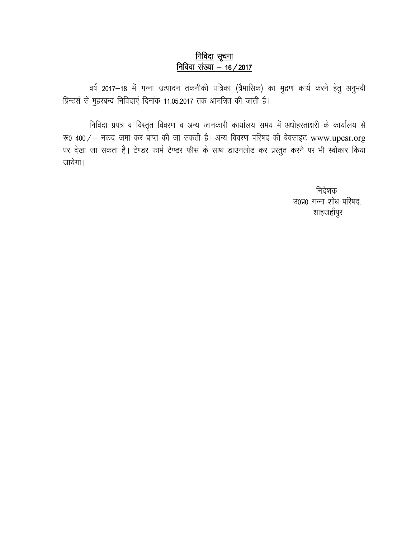## <u>निविदा सूचना</u> <u>निविदा संख्या - 16/2017</u>

वर्ष 2017–18 में गन्ना उत्पादन तकनीकी पत्रिका (त्रैमासिक) का मुद्रण कार्य करने हेतु अनुभवी प्रिन्टर्स से मुहरबन्द निविदाएं दिनांक 11.05.2017 तक आमत्रित की जाती है।

निविदा प्रपत्र व विस्तृत विवरण व अन्य जानकारी कार्यालय समय में अधोहस्ताक्षरी के कार्यालय से रू0 400/ - नकद जमा कर प्राप्त की जा सकती है। अन्य विवरण परिषद की बेवसाइट www.upcsr.org पर देखा जा सकता है। टेण्डर फार्म टेण्डर फीस के साथ डाउनलोड कर प्रस्तुत करने पर भी स्वीकार किया जायेगा।

> निदेशक उ०प्र० गन्ना शोध परिषद, शाहजहाँपुर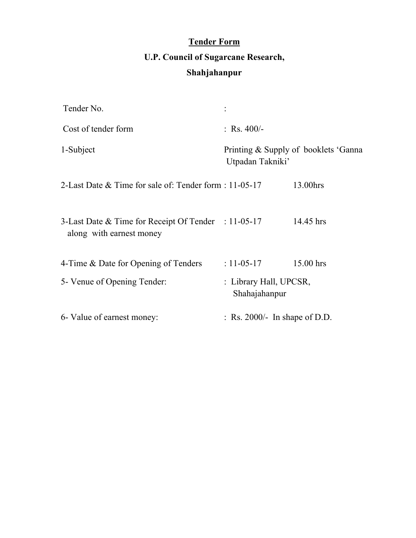## **Tender Form U.P. Council of Sugarcane Research, Shahjahanpur**

| Tender No.                                                                      |                                         |                                       |
|---------------------------------------------------------------------------------|-----------------------------------------|---------------------------------------|
| Cost of tender form                                                             | : Rs. $400/-$                           |                                       |
| 1-Subject                                                                       | Utpadan Takniki'                        | Printing & Supply of booklets 'Ganna' |
| 2-Last Date & Time for sale of: Tender form : 11-05-17                          |                                         | 13.00hrs                              |
| 3-Last Date & Time for Receipt Of Tender : 11-05-17<br>along with earnest money |                                         | 14.45 hrs                             |
| 4-Time & Date for Opening of Tenders                                            | $: 11 - 05 - 17$                        | 15.00 hrs                             |
| 5- Venue of Opening Tender:                                                     | : Library Hall, UPCSR,<br>Shahajahanpur |                                       |
| 6- Value of earnest money:                                                      | : Rs. 2000/- In shape of D.D.           |                                       |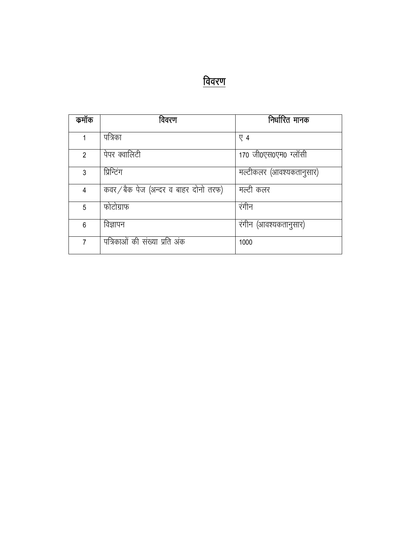| ┑ | ÷ | ı |
|---|---|---|
|   |   | Ш |

| कमॉक           | विवरण                               | निर्धारित मानक           |
|----------------|-------------------------------------|--------------------------|
| 1              | पत्रिका                             | $\nabla$ 4               |
| $\overline{2}$ | पेपर क्वालिटी                       | 170 जी0एस0एम0 ग्लॉसी     |
| 3              | प्रिन्टिंग                          | मल्टीकलर (आवश्यकतानुसार) |
| 4              | कवर/बैक पेज (अन्दर व बाहर दोनो तरफ) | मल्टी कलर                |
| 5              | फोटोग्राफ                           | रंगीन                    |
| 6              | विज्ञापन                            | रंगीन (आवश्यकतानुसार)    |
| 7              | पत्रिकाओं की संख्या प्रति अंक       | 1000                     |